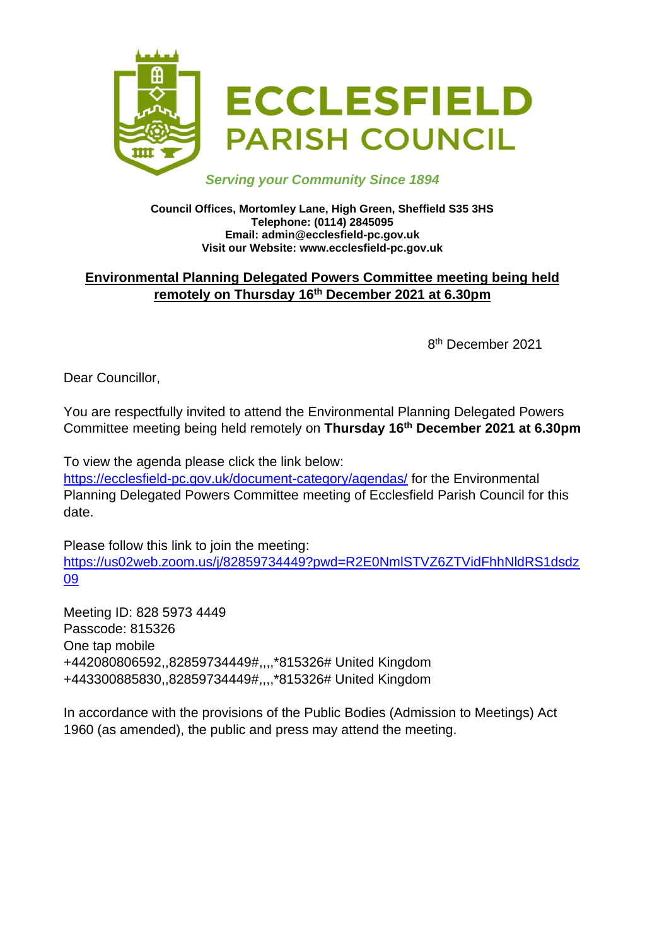

#### *Serving your Community Since 1894*

#### **Council Offices, Mortomley Lane, High Green, Sheffield S35 3HS Telephone: (0114) 2845095 Email: admin@ecclesfield-pc.gov.uk Visit our Website: www.ecclesfield-pc.gov.uk**

# **Environmental Planning Delegated Powers Committee meeting being held remotely on Thursday 16 th December 2021 at 6.30pm**

8 th December 2021

Dear Councillor,

You are respectfully invited to attend the Environmental Planning Delegated Powers Committee meeting being held remotely on **Thursday 16 th December 2021 at 6.30pm**

To view the agenda please click the link below:

<https://ecclesfield-pc.gov.uk/document-category/agendas/> for the Environmental Planning Delegated Powers Committee meeting of Ecclesfield Parish Council for this date.

Please follow this link to join the meeting: [https://us02web.zoom.us/j/82859734449?pwd=R2E0NmlSTVZ6ZTVidFhhNldRS1dsdz](https://us02web.zoom.us/j/82859734449?pwd=R2E0NmlSTVZ6ZTVidFhhNldRS1dsdz09) [09](https://us02web.zoom.us/j/82859734449?pwd=R2E0NmlSTVZ6ZTVidFhhNldRS1dsdz09)

Meeting ID: 828 5973 4449 Passcode: 815326 One tap mobile +442080806592,,82859734449#,,,,\*815326# United Kingdom +443300885830,,82859734449#,,,,\*815326# United Kingdom

In accordance with the provisions of the Public Bodies (Admission to Meetings) Act 1960 (as amended), the public and press may attend the meeting.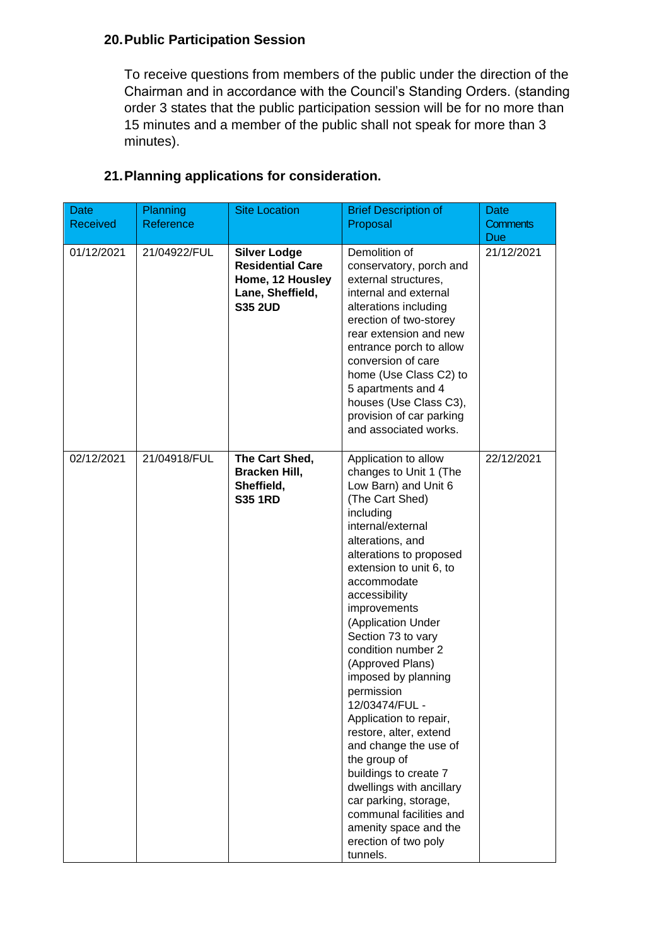# **20.Public Participation Session**

To receive questions from members of the public under the direction of the Chairman and in accordance with the Council's Standing Orders. (standing order 3 states that the public participation session will be for no more than 15 minutes and a member of the public shall not speak for more than 3 minutes).

| <b>Date</b><br><b>Received</b> | <b>Planning</b><br>Reference | <b>Site Location</b>                                                                                     | <b>Brief Description of</b><br>Proposal                                                                                                                                                                                                                                                                                                                                                                                                                                                                                                                                                                                                                             | <b>Date</b><br><b>Comments</b><br>Due |
|--------------------------------|------------------------------|----------------------------------------------------------------------------------------------------------|---------------------------------------------------------------------------------------------------------------------------------------------------------------------------------------------------------------------------------------------------------------------------------------------------------------------------------------------------------------------------------------------------------------------------------------------------------------------------------------------------------------------------------------------------------------------------------------------------------------------------------------------------------------------|---------------------------------------|
| 01/12/2021                     | 21/04922/FUL                 | <b>Silver Lodge</b><br><b>Residential Care</b><br>Home, 12 Housley<br>Lane, Sheffield,<br><b>S35 2UD</b> | Demolition of<br>conservatory, porch and<br>external structures,<br>internal and external<br>alterations including<br>erection of two-storey<br>rear extension and new<br>entrance porch to allow<br>conversion of care<br>home (Use Class C2) to<br>5 apartments and 4<br>houses (Use Class C3),<br>provision of car parking<br>and associated works.                                                                                                                                                                                                                                                                                                              | 21/12/2021                            |
| 02/12/2021                     | 21/04918/FUL                 | The Cart Shed,<br>Bracken Hill,<br>Sheffield,<br><b>S35 1RD</b>                                          | Application to allow<br>changes to Unit 1 (The<br>Low Barn) and Unit 6<br>(The Cart Shed)<br>including<br>internal/external<br>alterations, and<br>alterations to proposed<br>extension to unit 6, to<br>accommodate<br>accessibility<br>improvements<br>(Application Under<br>Section 73 to vary<br>condition number 2<br>(Approved Plans)<br>imposed by planning<br>permission<br>12/03474/FUL<br>Application to repair,<br>restore, alter, extend<br>and change the use of<br>the group of<br>buildings to create 7<br>dwellings with ancillary<br>car parking, storage,<br>communal facilities and<br>amenity space and the<br>erection of two poly<br>tunnels. | 22/12/2021                            |

# **21.Planning applications for consideration.**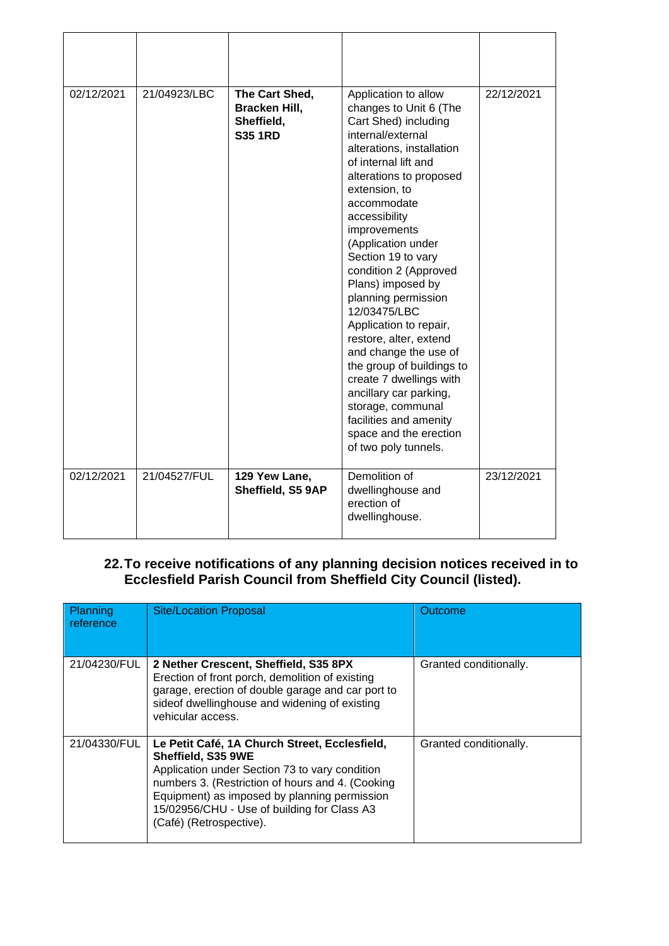| 02/12/2021 | 21/04923/LBC | The Cart Shed,<br>Bracken Hill,<br>Sheffield,<br><b>S35 1RD</b> | Application to allow<br>changes to Unit 6 (The<br>Cart Shed) including<br>internal/external<br>alterations, installation<br>of internal lift and<br>alterations to proposed<br>extension, to<br>accommodate<br>accessibility<br>improvements<br>(Application under<br>Section 19 to vary<br>condition 2 (Approved<br>Plans) imposed by<br>planning permission<br>12/03475/LBC<br>Application to repair,<br>restore, alter, extend<br>and change the use of<br>the group of buildings to<br>create 7 dwellings with<br>ancillary car parking,<br>storage, communal<br>facilities and amenity<br>space and the erection<br>of two poly tunnels. | 22/12/2021 |
|------------|--------------|-----------------------------------------------------------------|-----------------------------------------------------------------------------------------------------------------------------------------------------------------------------------------------------------------------------------------------------------------------------------------------------------------------------------------------------------------------------------------------------------------------------------------------------------------------------------------------------------------------------------------------------------------------------------------------------------------------------------------------|------------|
| 02/12/2021 | 21/04527/FUL | 129 Yew Lane,<br>Sheffield, S5 9AP                              | Demolition of<br>dwellinghouse and<br>erection of<br>dwellinghouse.                                                                                                                                                                                                                                                                                                                                                                                                                                                                                                                                                                           | 23/12/2021 |

#### **22.To receive notifications of any planning decision notices received in to Ecclesfield Parish Council from Sheffield City Council (listed).**

| Planning<br>reference | <b>Site/Location Proposal</b>                                                                                                                                                                                                                                                                       | Outcome                |
|-----------------------|-----------------------------------------------------------------------------------------------------------------------------------------------------------------------------------------------------------------------------------------------------------------------------------------------------|------------------------|
| 21/04230/FUL          | 2 Nether Crescent, Sheffield, S35 8PX<br>Erection of front porch, demolition of existing<br>garage, erection of double garage and car port to<br>sideof dwellinghouse and widening of existing<br>vehicular access.                                                                                 | Granted conditionally. |
| 21/04330/FUL          | Le Petit Café, 1A Church Street, Ecclesfield,<br>Sheffield, S35 9WE<br>Application under Section 73 to vary condition<br>numbers 3. (Restriction of hours and 4. (Cooking<br>Equipment) as imposed by planning permission<br>15/02956/CHU - Use of building for Class A3<br>(Café) (Retrospective). | Granted conditionally. |